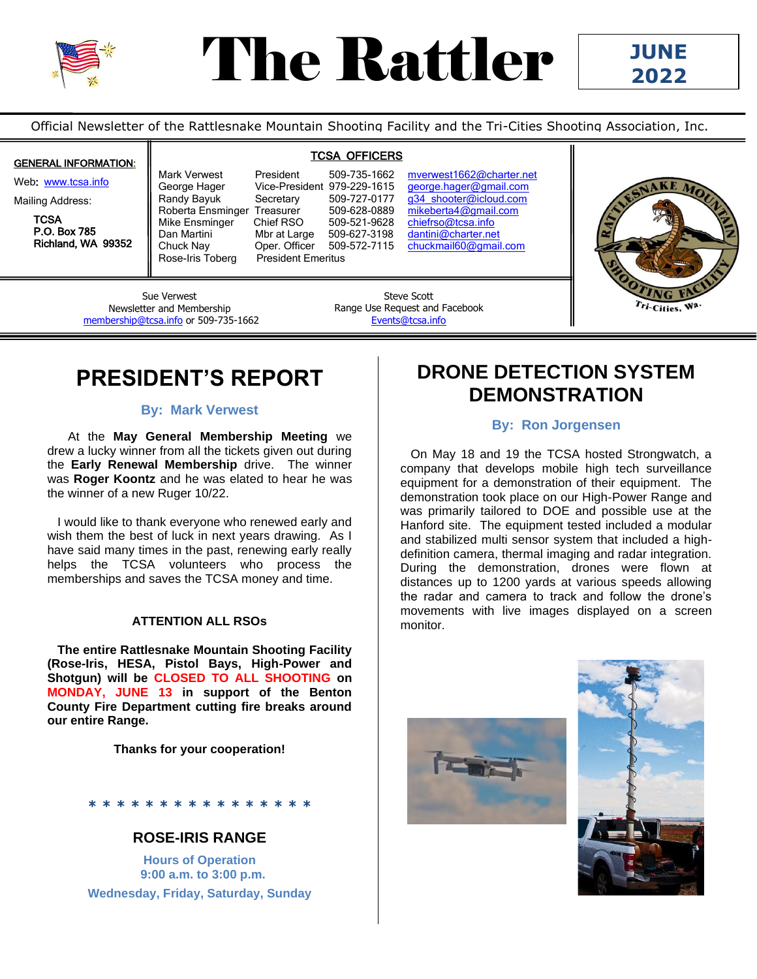

# The Rattler

Official Newsletter of the Rattlesnake Mountain Shooting Facility and the Tri-Cities Shooting Association, Inc.

### GENERAL INFORMATION:

Web: [www.tcsa.info](http://www.tcsa.info/)

Mailing Address:

**TCSA**  P.O. Box 785 Richland, WA 99352

**TCSA OFFICERS** 

Randy Bayuk Secretary 509-727-0177 g34 shooter@icloud.com<br>Roberta Ensminger Treasurer 509-628-0889 mikeberta4@gmail.com Roberta Ensminger Treasurer 509-628-0889<br>Mike Ensminger Chief RSO 509-521-9628 Dan Martini Mbr at Large 509-627-3198 dantini@charter.net<br>Chuck Nay Oper. Officer 509-572-7115 chuckmail60@gmai Chuck Nay Oper. Officer 509-572-7115 [chuckmail60@gmail.com](mailto:chuckmail60@gmail.com)<br>Rose-Iris Toberg President Emeritus President Emeritus

Mark Verwest President 509-735-1662 mverwest1662@charter.net George Hager Vice-President 979-229-1615 [george.hager@gmail.com](mailto:george.hager@gmail.com) [chiefrso@tcsa.info](mailto:chiefrso@tcsa.info)



Sue Verwest Newsletter and Membership [membership@tcsa.info](mailto:membership@tcsa.info) or 509-735-1662

Steve Scott Range Use Request and Facebook [Events@tcsa.info](mailto:Events@tcsa.info)

### **PRESIDENT'S REPORT**

### **By: Mark Verwest**

 At the **May General Membership Meeting** we drew a lucky winner from all the tickets given out during the **Early Renewal Membership** drive. The winner was **Roger Koontz** and he was elated to hear he was the winner of a new Ruger 10/22.

 I would like to thank everyone who renewed early and wish them the best of luck in next years drawing. As I have said many times in the past, renewing early really helps the TCSA volunteers who process the memberships and saves the TCSA money and time.

#### **ATTENTION ALL RSOs**

 **The entire Rattlesnake Mountain Shooting Facility (Rose-Iris, HESA, Pistol Bays, High-Power and Shotgun) will be CLOSED TO ALL SHOOTING on MONDAY, JUNE 13 in support of the Benton County Fire Department cutting fire breaks around our entire Range.**

**Thanks for your cooperation!**

### **\* \* \* \* \* \* \* \* \* \* \* \* \* \* \* \***

### **ROSE-IRIS RANGE**

**Hours of Operation 9:00 a.m. to 3:00 p.m. Wednesday, Friday, Saturday, Sunday** 

### **DRONE DETECTION SYSTEM DEMONSTRATION**

### **By: Ron Jorgensen**

 On May 18 and 19 the TCSA hosted Strongwatch, a company that develops mobile high tech surveillance equipment for a demonstration of their equipment. The demonstration took place on our High-Power Range and was primarily tailored to DOE and possible use at the Hanford site. The equipment tested included a modular and stabilized multi sensor system that included a highdefinition camera, thermal imaging and radar integration. During the demonstration, drones were flown at distances up to 1200 yards at various speeds allowing the radar and camera to track and follow the drone's movements with live images displayed on a screen monitor.



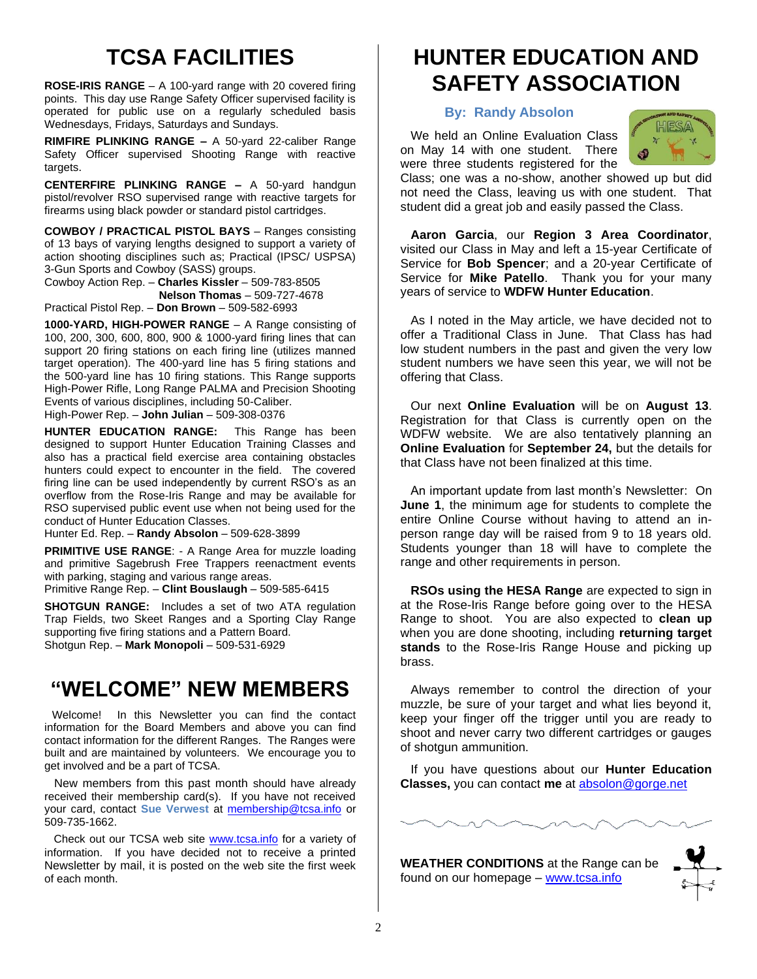# **TCSA FACILITIES**

**ROSE-IRIS RANGE** – A 100-yard range with 20 covered firing points. This day use Range Safety Officer supervised facility is operated for public use on a regularly scheduled basis Wednesdays, Fridays, Saturdays and Sundays.

**RIMFIRE PLINKING RANGE –** A 50-yard 22-caliber Range Safety Officer supervised Shooting Range with reactive targets.

**CENTERFIRE PLINKING RANGE –** A 50-yard handgun pistol/revolver RSO supervised range with reactive targets for firearms using black powder or standard pistol cartridges.

**COWBOY / PRACTICAL PISTOL BAYS** – Ranges consisting of 13 bays of varying lengths designed to support a variety of action shooting disciplines such as; Practical (IPSC/ USPSA) 3-Gun Sports and Cowboy (SASS) groups.

Cowboy Action Rep. – **Charles Kissler** – 509-783-8505 **Nelson Thomas** – 509-727-4678 Practical Pistol Rep. – **Don Brown** – 509-582-6993

**1000-YARD, HIGH-POWER RANGE** – A Range consisting of 100, 200, 300, 600, 800, 900 & 1000-yard firing lines that can support 20 firing stations on each firing line (utilizes manned target operation). The 400-yard line has 5 firing stations and the 500-yard line has 10 firing stations. This Range supports High-Power Rifle, Long Range PALMA and Precision Shooting Events of various disciplines, including 50-Caliber. High-Power Rep. – **John Julian** – 509-308-0376

**HUNTER EDUCATION RANGE:** This Range has been designed to support Hunter Education Training Classes and also has a practical field exercise area containing obstacles hunters could expect to encounter in the field. The covered firing line can be used independently by current RSO's as an overflow from the Rose-Iris Range and may be available for RSO supervised public event use when not being used for the conduct of Hunter Education Classes.

Hunter Ed. Rep. – **Randy Absolon** – 509-628-3899

**PRIMITIVE USE RANGE**: - A Range Area for muzzle loading and primitive Sagebrush Free Trappers reenactment events with parking, staging and various range areas.

Primitive Range Rep. – **Clint Bouslaugh** – 509-585-6415

**SHOTGUN RANGE:** Includes a set of two ATA regulation Trap Fields, two Skeet Ranges and a Sporting Clay Range supporting five firing stations and a Pattern Board. Shotgun Rep. – **Mark Monopoli** – 509-531-6929

### **"WELCOME" NEW MEMBERS**

 Welcome! In this Newsletter you can find the contact information for the Board Members and above you can find contact information for the different Ranges. The Ranges were built and are maintained by volunteers. We encourage you to get involved and be a part of TCSA.

 New members from this past month should have already received their membership card(s). If you have not received your card, contact **Sue Verwest** at [membership@tcsa.info](mailto:membership@tcsa.info) or 509-735-1662.

 Check out our TCSA web site [www.tcsa.info](http://www.tcsa.info/) for a variety of information. If you have decided not to receive a printed Newsletter by mail, it is posted on the web site the first week of each month.

### **HUNTER EDUCATION AND SAFETY ASSOCIATION**

#### **By: Randy Absolon**

 We held an Online Evaluation Class on May 14 with one student. There were three students registered for the



Class; one was a no-show, another showed up but did not need the Class, leaving us with one student. That student did a great job and easily passed the Class.

 **Aaron Garcia**, our **Region 3 Area Coordinator**, visited our Class in May and left a 15-year Certificate of Service for **Bob Spencer**; and a 20-year Certificate of Service for **Mike Patello**. Thank you for your many years of service to **WDFW Hunter Education**.

 As I noted in the May article, we have decided not to offer a Traditional Class in June. That Class has had low student numbers in the past and given the very low student numbers we have seen this year, we will not be offering that Class.

 Our next **Online Evaluation** will be on **August 13**. Registration for that Class is currently open on the WDFW website. We are also tentatively planning an **Online Evaluation** for **September 24,** but the details for that Class have not been finalized at this time.

 An important update from last month's Newsletter: On **June 1**, the minimum age for students to complete the entire Online Course without having to attend an inperson range day will be raised from 9 to 18 years old. Students younger than 18 will have to complete the range and other requirements in person.

 **RSOs using the HESA Range** are expected to sign in at the Rose-Iris Range before going over to the HESA Range to shoot. You are also expected to **clean up** when you are done shooting, including **returning target stands** to the Rose-Iris Range House and picking up brass.

 Always remember to control the direction of your muzzle, be sure of your target and what lies beyond it, keep your finger off the trigger until you are ready to shoot and never carry two different cartridges or gauges of shotgun ammunition.

 If you have questions about our **Hunter Education Classes,** you can contact **me** at [absolon@gorge.net](mailto:absolon@gorge.net)



**WEATHER CONDITIONS** at the Range can be found on our homepage – [www.tcsa.info](http://www.tcsa.info/)

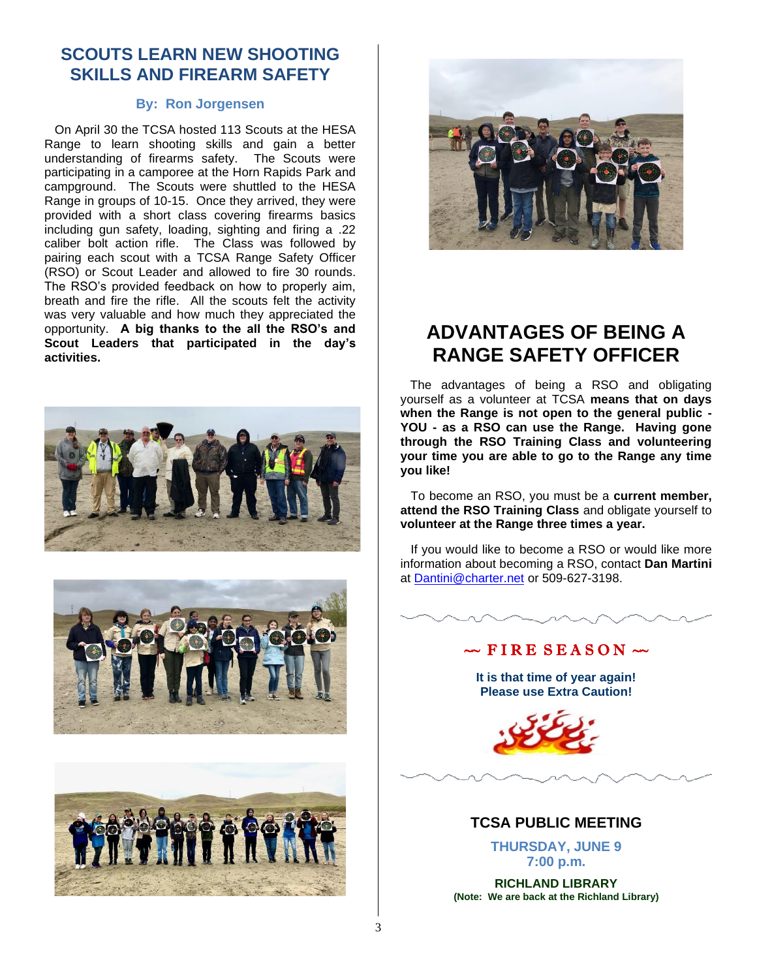### **SCOUTS LEARN NEW SHOOTING SKILLS AND FIREARM SAFETY**

#### **By: Ron Jorgensen**

 On April 30 the TCSA hosted 113 Scouts at the HESA Range to learn shooting skills and gain a better understanding of firearms safety. The Scouts were participating in a camporee at the Horn Rapids Park and campground. The Scouts were shuttled to the HESA Range in groups of 10-15. Once they arrived, they were provided with a short class covering firearms basics including gun safety, loading, sighting and firing a .22 caliber bolt action rifle. The Class was followed by pairing each scout with a TCSA Range Safety Officer (RSO) or Scout Leader and allowed to fire 30 rounds. The RSO's provided feedback on how to properly aim, breath and fire the rifle. All the scouts felt the activity was very valuable and how much they appreciated the opportunity. **A big thanks to the all the RSO's and Scout Leaders that participated in the day's activities.**









### **ADVANTAGES OF BEING A RANGE SAFETY OFFICER**

The advantages of being a RSO and obligating yourself as a volunteer at TCSA **means that on days when the Range is not open to the general public - YOU - as a RSO can use the Range. Having gone through the RSO Training Class and volunteering your time you are able to go to the Range any time you like!**

 To become an RSO, you must be a **current member, attend the RSO Training Class** and obligate yourself to **volunteer at the Range three times a year.**

 If you would like to become a RSO or would like more information about becoming a RSO, contact **Dan Martini** at [Dantini@charter.net](mailto:Dantini@charter.net) or 509-627-3198.

### $\sim$  FIRE SEASON  $\sim$

**It is that time of year again! Please use Extra Caution!**



### **TCSA PUBLIC MEETING**

**THURSDAY, JUNE 9 7:00 p.m.** 

**RICHLAND LIBRARY (Note: We are back at the Richland Library)**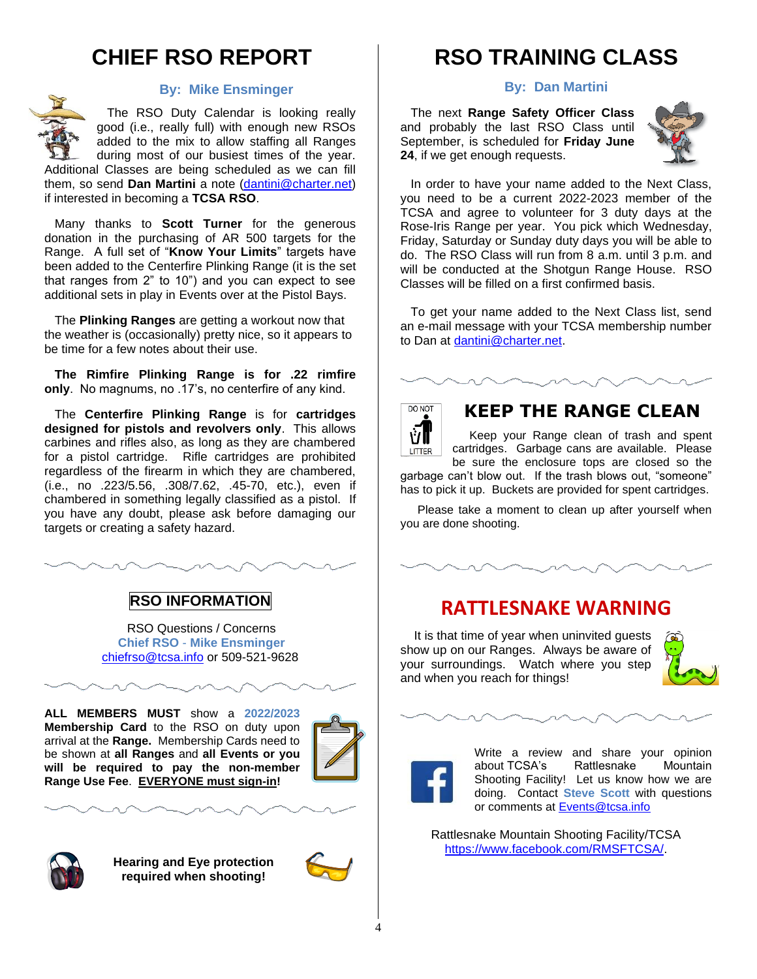# **CHIEF RSO REPORT**



#### **By: Mike Ensminger**

 The RSO Duty Calendar is looking really good (i.e., really full) with enough new RSOs added to the mix to allow staffing all Ranges during most of our busiest times of the year.

Additional Classes are being scheduled as we can fill them, so send **Dan Martini** a note [\(dantini@charter.net\)](mailto:dantini@charter.net) if interested in becoming a **TCSA RSO**.

 Many thanks to **Scott Turner** for the generous donation in the purchasing of AR 500 targets for the Range. A full set of "**Know Your Limits**" targets have been added to the Centerfire Plinking Range (it is the set that ranges from 2" to 10") and you can expect to see additional sets in play in Events over at the Pistol Bays.

 The **Plinking Ranges** are getting a workout now that the weather is (occasionally) pretty nice, so it appears to be time for a few notes about their use.

 **The Rimfire Plinking Range is for .22 rimfire only**. No magnums, no .17's, no centerfire of any kind.

 The **Centerfire Plinking Range** is for **cartridges designed for pistols and revolvers only**. This allows carbines and rifles also, as long as they are chambered for a pistol cartridge. Rifle cartridges are prohibited regardless of the firearm in which they are chambered, (i.e., no .223/5.56, .308/7.62, .45-70, etc.), even if chambered in something legally classified as a pistol. If you have any doubt, please ask before damaging our targets or creating a safety hazard.



RSO Questions / Concerns **Chief RSO** - **Mike Ensminger** [chiefrso@tcsa.info](mailto:chiefrso@tcsa.info) or 509-521-9628

**ALL MEMBERS MUST** show a **2022/2023 Membership Card** to the RSO on duty upon arrival at the **Range.** Membership Cards need to be shown at **all Ranges** and **all Events or you will be required to pay the non-member Range Use Fee**. **EVERYONE must sign-in!**





**Hearing and Eye protection required when shooting!**



### **RSO TRAINING CLASS**

**By: Dan Martini**

 The next **Range Safety Officer Class** and probably the last RSO Class until September, is scheduled for **Friday June 24**, if we get enough requests.



 In order to have your name added to the Next Class, you need to be a current 2022-2023 member of the TCSA and agree to volunteer for 3 duty days at the Rose-Iris Range per year. You pick which Wednesday, Friday, Saturday or Sunday duty days you will be able to do. The RSO Class will run from 8 a.m. until 3 p.m. and will be conducted at the Shotgun Range House. RSO Classes will be filled on a first confirmed basis.

 To get your name added to the Next Class list, send an e-mail message with your TCSA membership number to Dan at [dantini@charter.net.](mailto:dantini@charter.net)



### **KEEP THE RANGE CLEAN**

 Keep your Range clean of trash and spent cartridges. Garbage cans are available. Please be sure the enclosure tops are closed so the

garbage can't blow out. If the trash blows out, "someone" has to pick it up. Buckets are provided for spent cartridges.

 Please take a moment to clean up after yourself when you are done shooting.

### **RATTLESNAKE WARNING**

 It is that time of year when uninvited guests show up on our Ranges. Always be aware of your surroundings. Watch where you step and when you reach for things!





Write a review and share your opinion about TCSA's Rattlesnake Mountain Shooting Facility! Let us know how we are doing. Contact **Steve Scott** with questions or comments at [Events@tcsa.info](mailto:Events@tcsa.info)

Rattlesnake Mountain Shooting Facility/TCSA [https://www.facebook.com/RMSFTCSA/.](https://www.facebook.com/RMSFTCSA/)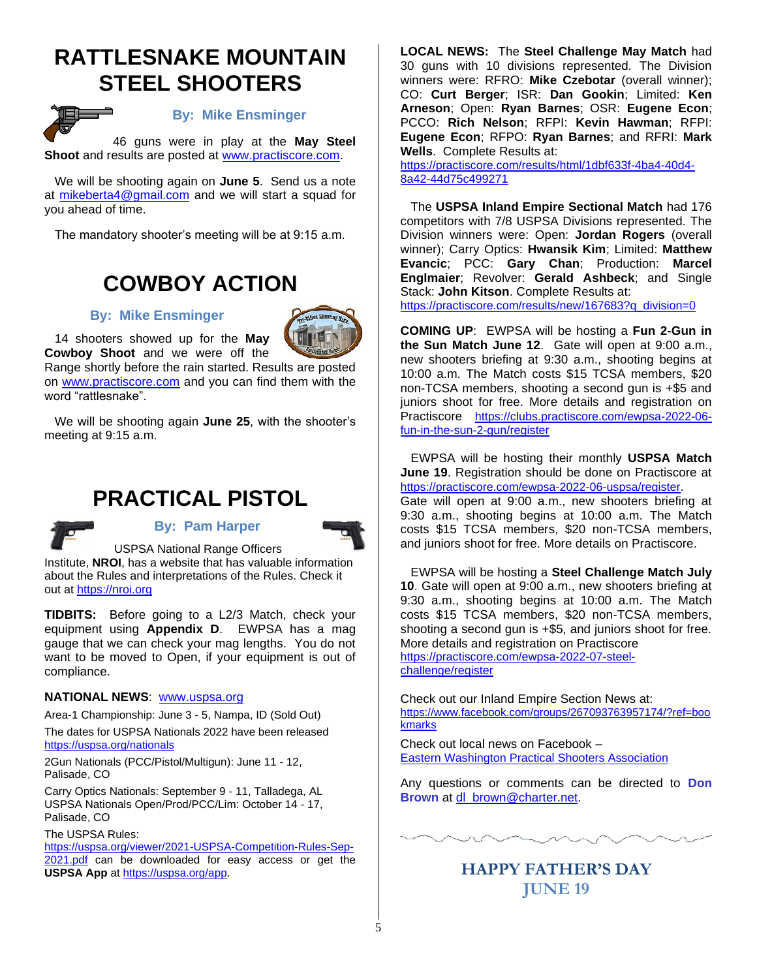### **RATTLESNAKE MOUNTAIN STEEL SHOOTERS**



#### **By: Mike Ensminger**

 46 guns were in play at the **May Steel Shoot** and results are posted at [www.practiscore.com.](http://www.practiscore.com/)

 We will be shooting again on **June 5**. Send us a note at [mikeberta4@gmail.com](mailto:mikeberta4@gmail.com) and we will start a squad for you ahead of time.

The mandatory shooter's meeting will be at 9:15 a.m.

### **COWBOY ACTION**

#### **By: Mike Ensminger**



 14 shooters showed up for the **May Cowboy Shoot** and we were off the

Range shortly before the rain started. Results are posted on [www.practiscore.com](http://www.practiscore.com/) and you can find them with the word "rattlesnake".

 We will be shooting again **June 25**, with the shooter's meeting at 9:15 a.m.

### **PRACTICAL PISTOL**



#### **By: Pam Harper**



USPSA National Range Officers Institute, **NROI**, has a website that has valuable information about the Rules and interpretations of the Rules. Check it out at [https://nroi.org](https://nroi.org/)

**TIDBITS:** Before going to a L2/3 Match, check your equipment using **Appendix D**. EWPSA has a mag gauge that we can check your mag lengths. You do not want to be moved to Open, if your equipment is out of compliance.

#### **NATIONAL NEWS**: [www.uspsa.org](http://www.uspsa.org/)

Area-1 Championship: June 3 - 5, Nampa, ID (Sold Out)

The dates for USPSA Nationals 2022 have been released <https://uspsa.org/nationals>

2Gun Nationals (PCC/Pistol/Multigun): June 11 - 12, Palisade, CO

Carry Optics Nationals: September 9 - 11, Talladega, AL USPSA Nationals Open/Prod/PCC/Lim: October 14 - 17, Palisade, CO

The USPSA Rules:

[https://uspsa.org/viewer/2021-USPSA-Competition-Rules-Sep-](https://uspsa.org/viewer/2021-USPSA-Competition-Rules-Sep-2021.pdf)[2021.pdf](https://uspsa.org/viewer/2021-USPSA-Competition-Rules-Sep-2021.pdf) can be downloaded for easy access or get the **USPSA App** a[t https://uspsa.org/app.](https://uspsa.org/app)

**LOCAL NEWS:** The **Steel Challenge May Match** had 30 guns with 10 divisions represented. The Division winners were: RFRO: **Mike Czebotar** (overall winner); CO: **Curt Berger**; ISR: **Dan Gookin**; Limited: **Ken Arneson**; Open: **Ryan Barnes**; OSR: **Eugene Econ**; PCCO: **Rich Nelson**; RFPI: **Kevin Hawman**; RFPI: **Eugene Econ**; RFPO: **Ryan Barnes**; and RFRI: **Mark Wells**. Complete Results at:

[https://practiscore.com/results/html/1dbf633f-4ba4-40d4-](https://practiscore.com/results/html/1dbf633f-4ba4-40d4-8a42-44d75c499271) [8a42-44d75c499271](https://practiscore.com/results/html/1dbf633f-4ba4-40d4-8a42-44d75c499271)

 The **USPSA Inland Empire Sectional Match** had 176 competitors with 7/8 USPSA Divisions represented. The Division winners were: Open: **Jordan Rogers** (overall winner); Carry Optics: **Hwansik Kim**; Limited: **Matthew Evancic**; PCC: **Gary Chan**; Production: **Marcel Englmaier**; Revolver: **Gerald Ashbeck**; and Single Stack: **John Kitson**. Complete Results at:

[https://practiscore.com/results/new/167683?q\\_division=0](https://practiscore.com/results/new/167683?q_division=0)

**COMING UP**: EWPSA will be hosting a **Fun 2-Gun in the Sun Match June 12**. Gate will open at 9:00 a.m., new shooters briefing at 9:30 a.m., shooting begins at 10:00 a.m. The Match costs \$15 TCSA members, \$20 non-TCSA members, shooting a second gun is +\$5 and juniors shoot for free. More details and registration on Practiscore [https://clubs.practiscore.com/ewpsa-2022-06](https://clubs.practiscore.com/ewpsa-2022-04-fun-2-gun-in-the-sun/register) [fun-in-the-sun-2-gun/register](https://clubs.practiscore.com/ewpsa-2022-04-fun-2-gun-in-the-sun/register)

 EWPSA will be hosting their monthly **USPSA Match June 19**. Registration should be done on Practiscore at <https://practiscore.com/ewpsa-2022-06-uspsa/register>.

Gate will open at 9:00 a.m., new shooters briefing at 9:30 a.m., shooting begins at 10:00 a.m. The Match costs \$15 TCSA members, \$20 non-TCSA members, and juniors shoot for free. More details on Practiscore.

 EWPSA will be hosting a **Steel Challenge Match July 10**. Gate will open at 9:00 a.m., new shooters briefing at 9:30 a.m., shooting begins at 10:00 a.m. The Match costs \$15 TCSA members, \$20 non-TCSA members, shooting a second gun is +\$5, and juniors shoot for free. More details and registration on Practiscore [https://practiscore.com/ewpsa-2022-07-steel](https://practiscore.com/ewpsa-2022-07-steel-challenge/register)[challenge/register](https://practiscore.com/ewpsa-2022-07-steel-challenge/register)

Check out our Inland Empire Section News at: [https://www.facebook.com/groups/267093763957174/?ref=boo](https://www.facebook.com/groups/267093763957174/?ref=bookmarks) [kmarks](https://www.facebook.com/groups/267093763957174/?ref=bookmarks)

Check out local news on Facebook – [Eastern Washington Practical Shooters Association](https://www.facebook.com/Eastern-Washington-Practical-Shooters-Association-106584939369485/)

Any questions or comments can be directed to **Don Brown** at [dl\\_brown@charter.net.](mailto:dl_brown@charter.net)



### **HAPPY FATHER'S DAY JUNE 19**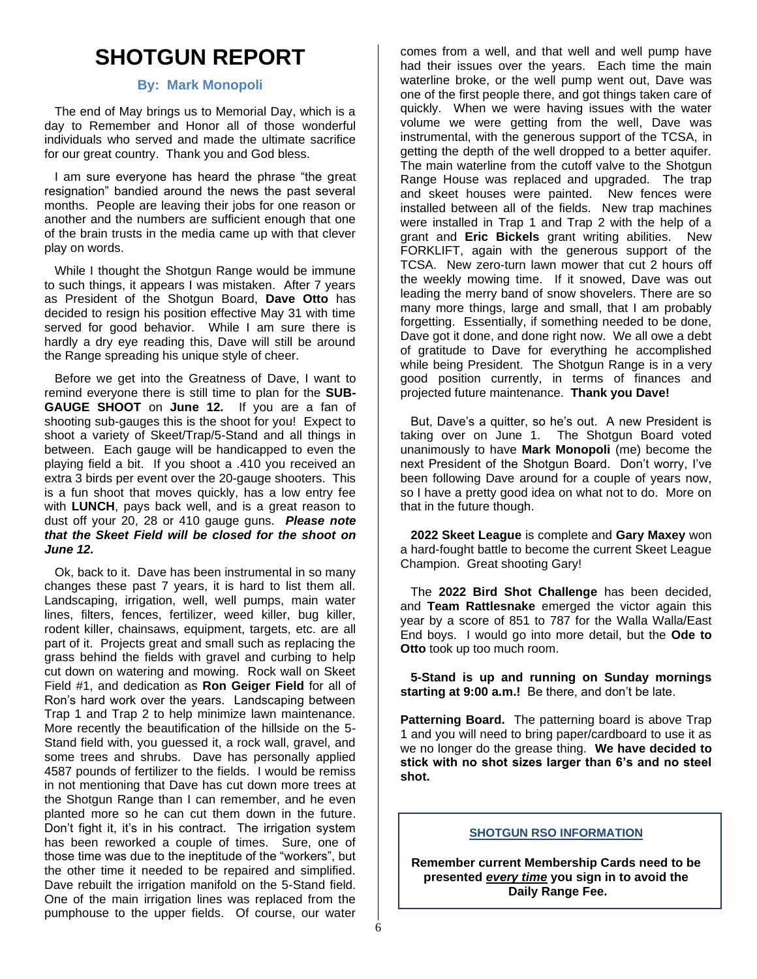### **SHOTGUN REPORT**

#### **By: Mark Monopoli**

 The end of May brings us to Memorial Day, which is a day to Remember and Honor all of those wonderful individuals who served and made the ultimate sacrifice for our great country. Thank you and God bless.

 I am sure everyone has heard the phrase "the great resignation" bandied around the news the past several months. People are leaving their jobs for one reason or another and the numbers are sufficient enough that one of the brain trusts in the media came up with that clever play on words.

 While I thought the Shotgun Range would be immune to such things, it appears I was mistaken. After 7 years as President of the Shotgun Board, **Dave Otto** has decided to resign his position effective May 31 with time served for good behavior. While I am sure there is hardly a dry eye reading this, Dave will still be around the Range spreading his unique style of cheer.

 Before we get into the Greatness of Dave, I want to remind everyone there is still time to plan for the **SUB-GAUGE SHOOT** on **June 12.** If you are a fan of shooting sub-gauges this is the shoot for you! Expect to shoot a variety of Skeet/Trap/5-Stand and all things in between. Each gauge will be handicapped to even the playing field a bit. If you shoot a .410 you received an extra 3 birds per event over the 20-gauge shooters. This is a fun shoot that moves quickly, has a low entry fee with **LUNCH**, pays back well, and is a great reason to dust off your 20, 28 or 410 gauge guns. *Please note that the Skeet Field will be closed for the shoot on June 12.*

 Ok, back to it. Dave has been instrumental in so many changes these past 7 years, it is hard to list them all. Landscaping, irrigation, well, well pumps, main water lines, filters, fences, fertilizer, weed killer, bug killer, rodent killer, chainsaws, equipment, targets, etc. are all part of it. Projects great and small such as replacing the grass behind the fields with gravel and curbing to help cut down on watering and mowing. Rock wall on Skeet Field #1, and dedication as **Ron Geiger Field** for all of Ron's hard work over the years. Landscaping between Trap 1 and Trap 2 to help minimize lawn maintenance. More recently the beautification of the hillside on the 5- Stand field with, you guessed it, a rock wall, gravel, and some trees and shrubs. Dave has personally applied 4587 pounds of fertilizer to the fields. I would be remiss in not mentioning that Dave has cut down more trees at the Shotgun Range than I can remember, and he even planted more so he can cut them down in the future. Don't fight it, it's in his contract. The irrigation system has been reworked a couple of times. Sure, one of those time was due to the ineptitude of the "workers", but the other time it needed to be repaired and simplified. Dave rebuilt the irrigation manifold on the 5-Stand field. One of the main irrigation lines was replaced from the pumphouse to the upper fields. Of course, our water

comes from a well, and that well and well pump have had their issues over the years. Each time the main waterline broke, or the well pump went out, Dave was one of the first people there, and got things taken care of quickly. When we were having issues with the water volume we were getting from the well, Dave was instrumental, with the generous support of the TCSA, in getting the depth of the well dropped to a better aquifer. The main waterline from the cutoff valve to the Shotgun Range House was replaced and upgraded. The trap and skeet houses were painted. New fences were installed between all of the fields. New trap machines were installed in Trap 1 and Trap 2 with the help of a grant and **Eric Bickels** grant writing abilities. New FORKLIFT, again with the generous support of the TCSA. New zero-turn lawn mower that cut 2 hours off the weekly mowing time. If it snowed, Dave was out leading the merry band of snow shovelers. There are so many more things, large and small, that I am probably forgetting. Essentially, if something needed to be done, Dave got it done, and done right now. We all owe a debt of gratitude to Dave for everything he accomplished while being President. The Shotgun Range is in a very good position currently, in terms of finances and projected future maintenance. **Thank you Dave!**

 But, Dave's a quitter, so he's out. A new President is taking over on June 1. The Shotgun Board voted unanimously to have **Mark Monopoli** (me) become the next President of the Shotgun Board. Don't worry, I've been following Dave around for a couple of years now, so I have a pretty good idea on what not to do. More on that in the future though.

 **2022 Skeet League** is complete and **Gary Maxey** won a hard-fought battle to become the current Skeet League Champion. Great shooting Gary!

 The **2022 Bird Shot Challenge** has been decided, and **Team Rattlesnake** emerged the victor again this year by a score of 851 to 787 for the Walla Walla/East End boys. I would go into more detail, but the **Ode to Otto** took up too much room.

 **5-Stand is up and running on Sunday mornings starting at 9:00 a.m.!** Be there, and don't be late.

**Patterning Board.** The patterning board is above Trap 1 and you will need to bring paper/cardboard to use it as we no longer do the grease thing. **We have decided to stick with no shot sizes larger than 6's and no steel shot.**

#### **SHOTGUN RSO INFORMATION**

**Remember current Membership Cards need to be presented** *every time* **you sign in to avoid the Daily Range Fee.**